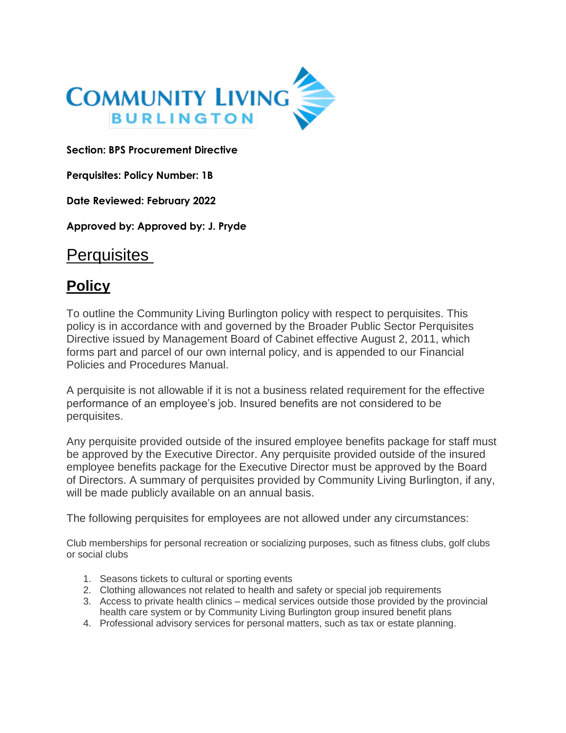

**Section: BPS Procurement Directive** 

**Perquisites: Policy Number: 1B** 

**Date Reviewed: February 2022**

**Approved by: Approved by: J. Pryde**

## **Perquisites**

## **Policy**

To outline the Community Living Burlington policy with respect to perquisites. This policy is in accordance with and governed by the Broader Public Sector Perquisites Directive issued by Management Board of Cabinet effective August 2, 2011, which forms part and parcel of our own internal policy, and is appended to our Financial Policies and Procedures Manual.

A perquisite is not allowable if it is not a business related requirement for the effective performance of an employee's job. Insured benefits are not considered to be perquisites.

Any perquisite provided outside of the insured employee benefits package for staff must be approved by the Executive Director. Any perquisite provided outside of the insured employee benefits package for the Executive Director must be approved by the Board of Directors. A summary of perquisites provided by Community Living Burlington, if any, will be made publicly available on an annual basis.

The following perquisites for employees are not allowed under any circumstances:

Club memberships for personal recreation or socializing purposes, such as fitness clubs, golf clubs or social clubs

- 1. Seasons tickets to cultural or sporting events
- 2. Clothing allowances not related to health and safety or special job requirements
- 3. Access to private health clinics medical services outside those provided by the provincial health care system or by Community Living Burlington group insured benefit plans
- 4. Professional advisory services for personal matters, such as tax or estate planning.